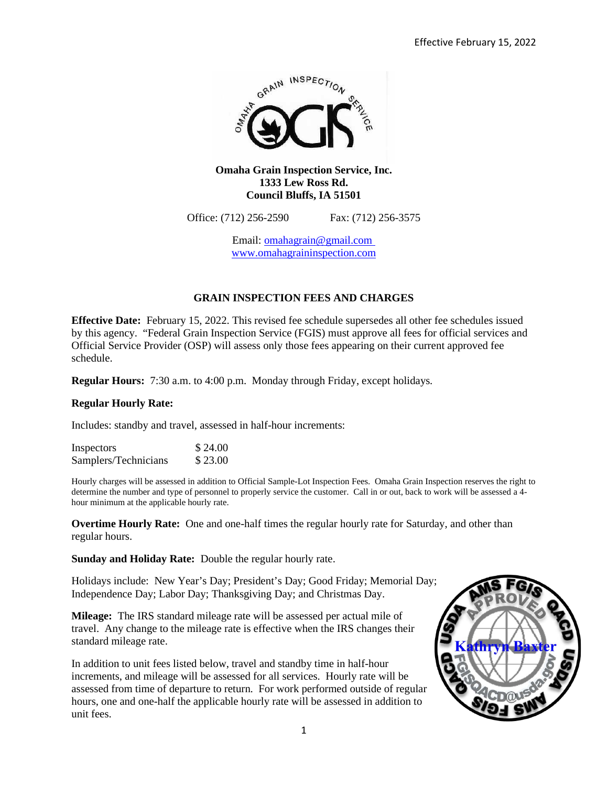

## **Omaha Grain Inspection Service, Inc. 1333 Lew Ross Rd. Council Bluffs, IA 51501**

Office: (712) 256-2590 Fax: (712) 256-3575

Email: [omahagrain@gmail.com](mailto:omahagrain@gmail.com)  www.omahagraininspection.com

# **GRAIN INSPECTION FEES AND CHARGES**

**Effective Date:** February 15, 2022. This revised fee schedule supersedes all other fee schedules issued by this agency. "Federal Grain Inspection Service (FGIS) must approve all fees for official services and Official Service Provider (OSP) will assess only those fees appearing on their current approved fee schedule.

**Regular Hours:** 7:30 a.m. to 4:00 p.m. Monday through Friday, except holidays.

## **Regular Hourly Rate:**

Includes: standby and travel, assessed in half-hour increments:

| Inspectors           | \$24.00 |
|----------------------|---------|
| Samplers/Technicians | \$23.00 |

Hourly charges will be assessed in addition to Official Sample-Lot Inspection Fees. Omaha Grain Inspection reserves the right to determine the number and type of personnel to properly service the customer. Call in or out, back to work will be assessed a 4 hour minimum at the applicable hourly rate.

**Overtime Hourly Rate:** One and one-half times the regular hourly rate for Saturday, and other than regular hours.

**Sunday and Holiday Rate:** Double the regular hourly rate.

Holidays include: New Year's Day; President's Day; Good Friday; Memorial Day; Independence Day; Labor Day; Thanksgiving Day; and Christmas Day.

**Mileage:** The IRS standard mileage rate will be assessed per actual mile of travel. Any change to the mileage rate is effective when the IRS changes their standard mileage rate.

In addition to unit fees listed below, travel and standby time in half-hour increments, and mileage will be assessed for all services. Hourly rate will be assessed from time of departure to return. For work performed outside of regular hours, one and one-half the applicable hourly rate will be assessed in addition to unit fees.

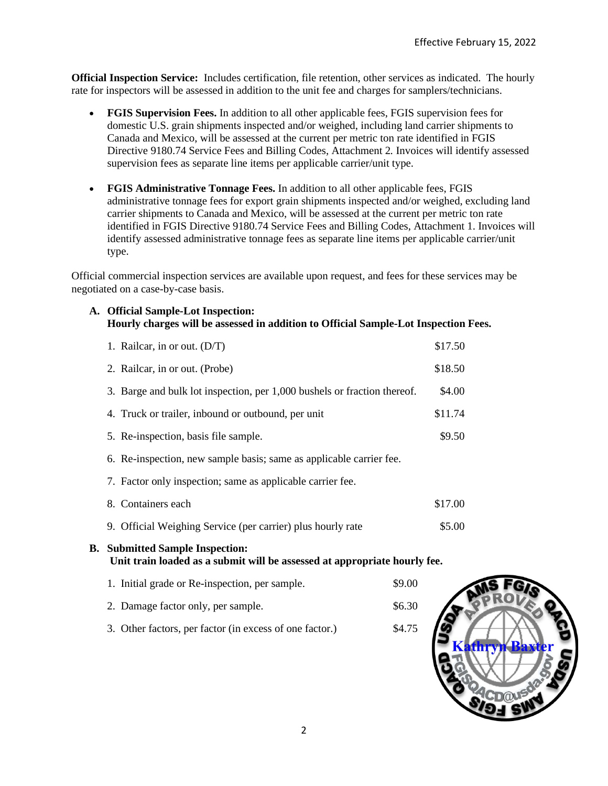**Official Inspection Service:** Includes certification, file retention, other services as indicated. The hourly rate for inspectors will be assessed in addition to the unit fee and charges for samplers/technicians.

- **FGIS Supervision Fees.** In addition to all other applicable fees, FGIS supervision fees for domestic U.S. grain shipments inspected and/or weighed, including land carrier shipments to Canada and Mexico, will be assessed at the current per metric ton rate identified in FGIS Directive 9180.74 Service Fees and Billing Codes, Attachment 2*.* Invoices will identify assessed supervision fees as separate line items per applicable carrier/unit type.
- **FGIS Administrative Tonnage Fees.** In addition to all other applicable fees, FGIS administrative tonnage fees for export grain shipments inspected and/or weighed, excluding land carrier shipments to Canada and Mexico, will be assessed at the current per metric ton rate identified in FGIS Directive 9180.74 Service Fees and Billing Codes, Attachment 1. Invoices will identify assessed administrative tonnage fees as separate line items per applicable carrier/unit type.

Official commercial inspection services are available upon request, and fees for these services may be negotiated on a case-by-case basis.

**A. Official Sample-Lot Inspection: Hourly charges will be assessed in addition to Official Sample-Lot Inspection Fees.**

| 1. Railcar, in or out. $(D/T)$                                                                                                                                                                                                                                                        | \$17.50 |
|---------------------------------------------------------------------------------------------------------------------------------------------------------------------------------------------------------------------------------------------------------------------------------------|---------|
| 2. Railcar, in or out. (Probe)                                                                                                                                                                                                                                                        | \$18.50 |
| 3. Barge and bulk lot inspection, per 1,000 bushels or fraction thereof.                                                                                                                                                                                                              | \$4.00  |
| 4. Truck or trailer, inbound or outbound, per unit                                                                                                                                                                                                                                    | \$11.74 |
| 5. Re-inspection, basis file sample.                                                                                                                                                                                                                                                  | \$9.50  |
| $\zeta$ , $\zeta$ , $\zeta$ , $\zeta$ , $\zeta$ , $\zeta$ , $\zeta$ , $\zeta$ , $\zeta$ , $\zeta$ , $\zeta$ , $\zeta$ , $\zeta$ , $\zeta$ , $\zeta$ , $\zeta$ , $\zeta$ , $\zeta$ , $\zeta$ , $\zeta$ , $\zeta$ , $\zeta$ , $\zeta$ , $\zeta$ , $\zeta$ , $\zeta$ , $\zeta$ , $\zeta$ |         |

- 6. Re-inspection, new sample basis; same as applicable carrier fee.
- 7. Factor only inspection; same as applicable carrier fee.
- 8. Containers each \$17.00 9. Official Weighing Service (per carrier) plus hourly rate \$5.00

# **B. Submitted Sample Inspection:**

**Unit train loaded as a submit will be assessed at appropriate hourly fee.**

1. Initial grade or Re-inspection, per sample. \$9.00 2. Damage factor only, per sample.  $$6.30$ 3. Other factors, per factor (in excess of one factor.) \$4.75

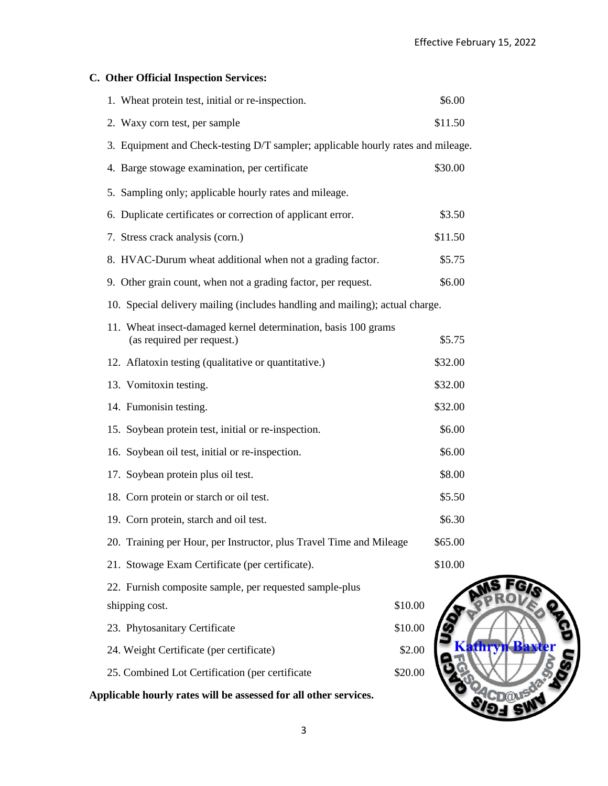| C. Other Official Inspection Services:                                                       |         |         |
|----------------------------------------------------------------------------------------------|---------|---------|
| 1. Wheat protein test, initial or re-inspection.                                             |         | \$6.00  |
| 2. Waxy corn test, per sample                                                                |         | \$11.50 |
| 3. Equipment and Check-testing D/T sampler; applicable hourly rates and mileage.             |         |         |
| 4. Barge stowage examination, per certificate                                                |         | \$30.00 |
| 5. Sampling only; applicable hourly rates and mileage.                                       |         |         |
| 6. Duplicate certificates or correction of applicant error.                                  |         | \$3.50  |
| 7. Stress crack analysis (corn.)                                                             |         | \$11.50 |
| 8. HVAC-Durum wheat additional when not a grading factor.                                    |         | \$5.75  |
| 9. Other grain count, when not a grading factor, per request.                                |         | \$6.00  |
| 10. Special delivery mailing (includes handling and mailing); actual charge.                 |         |         |
| 11. Wheat insect-damaged kernel determination, basis 100 grams<br>(as required per request.) |         | \$5.75  |
| 12. Aflatoxin testing (qualitative or quantitative.)                                         |         | \$32.00 |
| 13. Vomitoxin testing.                                                                       |         | \$32.00 |
| 14. Fumonisin testing.                                                                       |         | \$32.00 |
| 15. Soybean protein test, initial or re-inspection.                                          |         | \$6.00  |
| 16. Soybean oil test, initial or re-inspection.                                              |         | \$6.00  |
| 17. Soybean protein plus oil test.                                                           |         | \$8.00  |
| 18. Corn protein or starch or oil test.                                                      |         | \$5.50  |
| 19. Corn protein, starch and oil test.                                                       |         | \$6.30  |
| 20. Training per Hour, per Instructor, plus Travel Time and Mileage                          |         | \$65.00 |
| 21. Stowage Exam Certificate (per certificate).                                              |         | \$10.00 |
| 22. Furnish composite sample, per requested sample-plus                                      |         |         |
| shipping cost.                                                                               | \$10.00 |         |
| 23. Phytosanitary Certificate                                                                | \$10.00 |         |
| 24. Weight Certificate (per certificate)                                                     | \$2.00  |         |
| 25. Combined Lot Certification (per certificate                                              | \$20.00 |         |

**Applicable hourly rates will be assessed for all other services.**



3